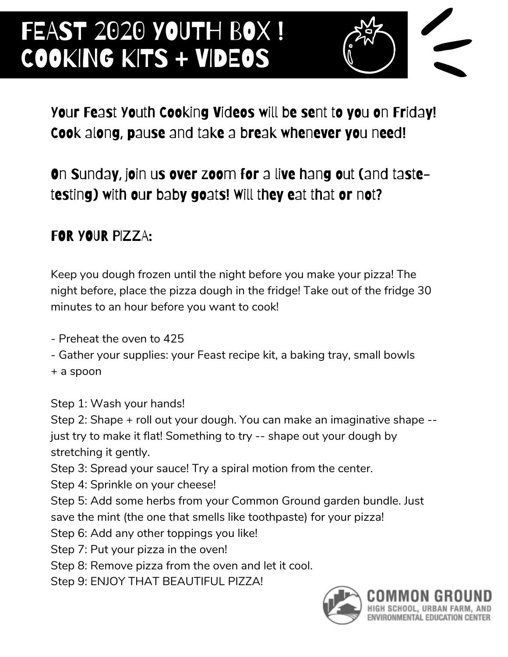# FEAST 2020 YOUTH BOX! COOKING KITS + VIDEOS



### Your Feast Youth Cooking Videos will be sent to you on Friday! Cook along, pause and take a break whenever you need!

### On Sunday, join us over zoom for a live hang out (and tastetesting) with our baby goats! Will they eat that or not?

#### FOR YOUR PIZZA:

Keep you dough frozen until the night before you make your pizza! The night before, place the pizza dough in the fridge! Take out of the fridge 30 minutes to an hour before you want to cook!

- Preheat the oven to 425

- Gather your supplies: your Feast recipe kit, a baking tray, small bowls

+ a spoon

Step 1: Wash your hands!

Step 2: Shape + roll out your dough. You can make an imaginative shape - just try to make it flat! Something to try -- shape out your dough by stretching it gently.

Step 3: Spread your sauce! Try a spiral motion from the center.

Step 4: Sprinkle on your cheese!

Step 5: Add some herbs from your Common Ground garden bundle. Just

save the mint (the one that smells like toothpaste) for your pizza!

Step 6: Add any other toppings you like!

Step 7: Put your pizza in the oven!

Step 8: Remove pizza from the oven and let it cool.

Step 9: ENJOY THAT BEAUTIFUL PIZZA!

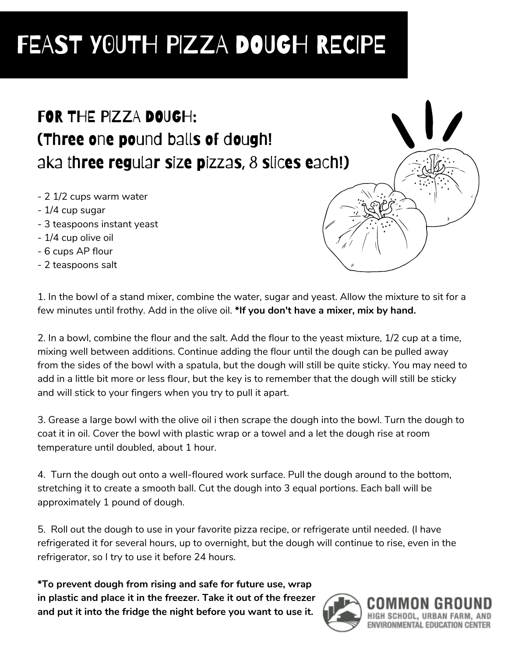# FEAST Y0UTH PIZZA DOUGH RECIPE

## FOR THE PIZZA DOUGH: (Three one pound balls of dough! aka three regular size pizzas, 8 slices each!)

- 2 1/2 cups warm water
- 1/4 cup sugar
- 3 teaspoons instant yeast
- 1/4 cup olive oil
- 6 cups AP flour
- 2 teaspoons salt

1. In the bowl of a stand mixer, combine the water, sugar and yeast. Allow the mixture to sit for a few minutes until frothy. Add in the olive oil. **\*If you don't have a mixer, mix by hand.**

2. In a bowl, combine the flour and the salt. Add the flour to the yeast mixture, 1/2 cup at a time, mixing well between additions. Continue adding the flour until the dough can be pulled away from the sides of the bowl with a spatula, but the dough will still be quite sticky. You may need to add in a little bit more or less flour, but the key is to remember that the dough will still be sticky and will stick to your fingers when you try to pull it apart.

3. Grease a large bowl with the olive oil i then scrape the dough into the bowl. Turn the dough to coat it in oil. Cover the bowl with plastic wrap or a towel and a let the dough rise at room temperature until doubled, about 1 hour.

4. Turn the dough out onto a well-floured work surface. Pull the dough around to the bottom, stretching it to create a smooth ball. Cut the dough into 3 equal portions. Each ball will be approximately 1 pound of dough.

5. Roll out the dough to use in your favorite pizza recipe, or refrigerate until needed. (I have refrigerated it for several hours, up to overnight, but the dough will continue to rise, even in the refrigerator, so I try to use it before 24 hours.

**\*To prevent dough from rising and safe for future use, wrap in plastic and place it in the freezer. Take it out of the freezer and put it into the fridge the night before you want to use it.**



ENVIRONMENTAL EDUCATION CENTER